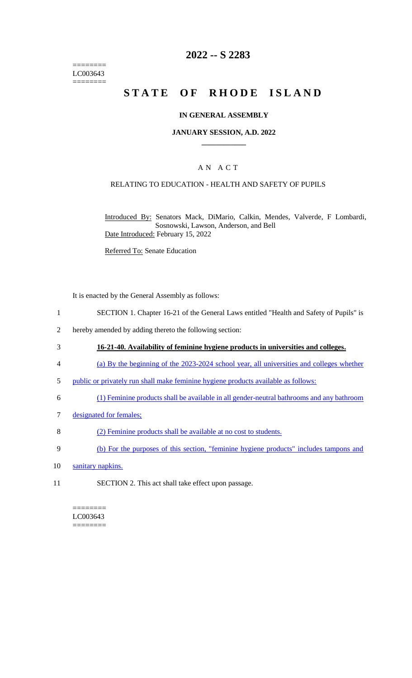======== LC003643 ========

### **2022 -- S 2283**

# **STATE OF RHODE ISLAND**

#### **IN GENERAL ASSEMBLY**

#### **JANUARY SESSION, A.D. 2022 \_\_\_\_\_\_\_\_\_\_\_\_**

#### A N A C T

#### RELATING TO EDUCATION - HEALTH AND SAFETY OF PUPILS

Introduced By: Senators Mack, DiMario, Calkin, Mendes, Valverde, F Lombardi, Sosnowski, Lawson, Anderson, and Bell Date Introduced: February 15, 2022

Referred To: Senate Education

It is enacted by the General Assembly as follows:

- 1 SECTION 1. Chapter 16-21 of the General Laws entitled "Health and Safety of Pupils" is
- 2 hereby amended by adding thereto the following section:
- 3 **16-21-40. Availability of feminine hygiene products in universities and colleges.**
- 4 (a) By the beginning of the 2023-2024 school year, all universities and colleges whether
- 5 public or privately run shall make feminine hygiene products available as follows:
- 6 (1) Feminine products shall be available in all gender-neutral bathrooms and any bathroom
- 7 designated for females;
- 8 (2) Feminine products shall be available at no cost to students.
- 9 (b) For the purposes of this section, "feminine hygiene products" includes tampons and
- 10 sanitary napkins.
- 11 SECTION 2. This act shall take effect upon passage.

======== LC003643  $=$